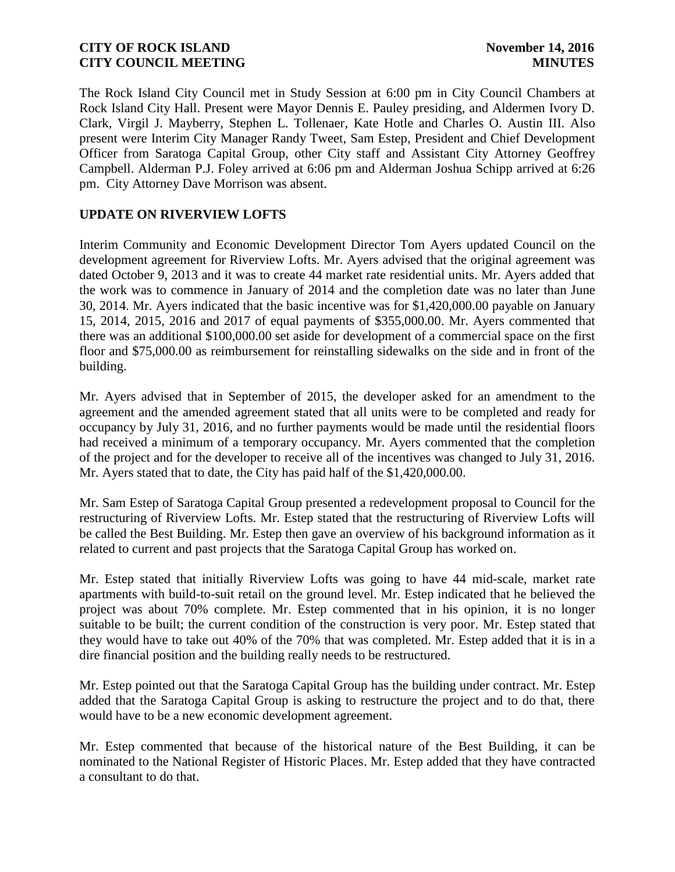The Rock Island City Council met in Study Session at 6:00 pm in City Council Chambers at Rock Island City Hall. Present were Mayor Dennis E. Pauley presiding, and Aldermen Ivory D. Clark, Virgil J. Mayberry, Stephen L. Tollenaer, Kate Hotle and Charles O. Austin III. Also present were Interim City Manager Randy Tweet, Sam Estep, President and Chief Development Officer from Saratoga Capital Group, other City staff and Assistant City Attorney Geoffrey Campbell. Alderman P.J. Foley arrived at 6:06 pm and Alderman Joshua Schipp arrived at 6:26 pm. City Attorney Dave Morrison was absent.

# **UPDATE ON RIVERVIEW LOFTS**

Interim Community and Economic Development Director Tom Ayers updated Council on the development agreement for Riverview Lofts. Mr. Ayers advised that the original agreement was dated October 9, 2013 and it was to create 44 market rate residential units. Mr. Ayers added that the work was to commence in January of 2014 and the completion date was no later than June 30, 2014. Mr. Ayers indicated that the basic incentive was for \$1,420,000.00 payable on January 15, 2014, 2015, 2016 and 2017 of equal payments of \$355,000.00. Mr. Ayers commented that there was an additional \$100,000.00 set aside for development of a commercial space on the first floor and \$75,000.00 as reimbursement for reinstalling sidewalks on the side and in front of the building.

Mr. Ayers advised that in September of 2015, the developer asked for an amendment to the agreement and the amended agreement stated that all units were to be completed and ready for occupancy by July 31, 2016, and no further payments would be made until the residential floors had received a minimum of a temporary occupancy. Mr. Ayers commented that the completion of the project and for the developer to receive all of the incentives was changed to July 31, 2016. Mr. Ayers stated that to date, the City has paid half of the \$1,420,000.00.

Mr. Sam Estep of Saratoga Capital Group presented a redevelopment proposal to Council for the restructuring of Riverview Lofts. Mr. Estep stated that the restructuring of Riverview Lofts will be called the Best Building. Mr. Estep then gave an overview of his background information as it related to current and past projects that the Saratoga Capital Group has worked on.

Mr. Estep stated that initially Riverview Lofts was going to have 44 mid-scale, market rate apartments with build-to-suit retail on the ground level. Mr. Estep indicated that he believed the project was about 70% complete. Mr. Estep commented that in his opinion, it is no longer suitable to be built; the current condition of the construction is very poor. Mr. Estep stated that they would have to take out 40% of the 70% that was completed. Mr. Estep added that it is in a dire financial position and the building really needs to be restructured.

Mr. Estep pointed out that the Saratoga Capital Group has the building under contract. Mr. Estep added that the Saratoga Capital Group is asking to restructure the project and to do that, there would have to be a new economic development agreement.

Mr. Estep commented that because of the historical nature of the Best Building, it can be nominated to the National Register of Historic Places. Mr. Estep added that they have contracted a consultant to do that.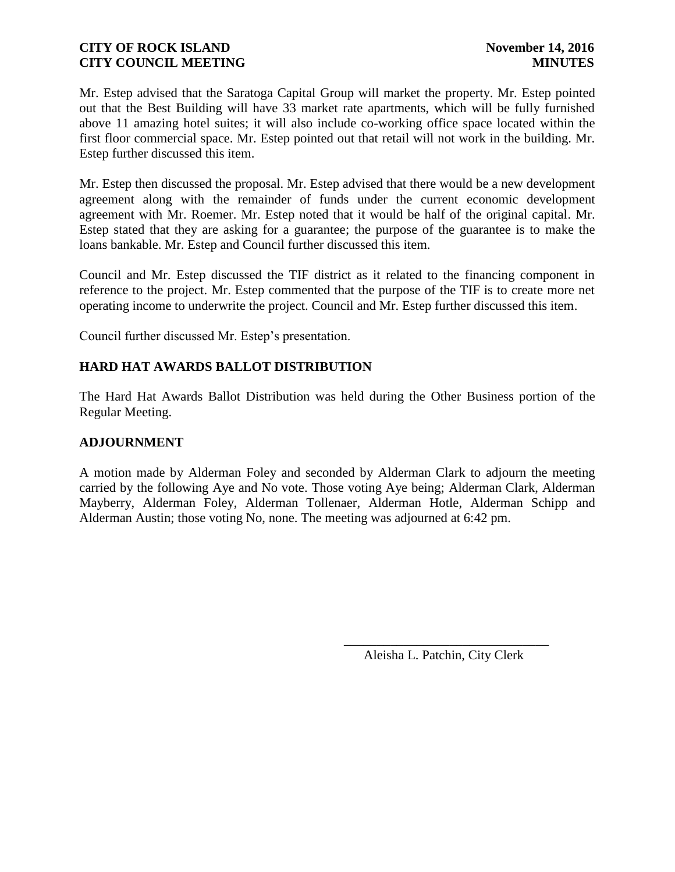Mr. Estep advised that the Saratoga Capital Group will market the property. Mr. Estep pointed out that the Best Building will have 33 market rate apartments, which will be fully furnished above 11 amazing hotel suites; it will also include co-working office space located within the first floor commercial space. Mr. Estep pointed out that retail will not work in the building. Mr. Estep further discussed this item.

Mr. Estep then discussed the proposal. Mr. Estep advised that there would be a new development agreement along with the remainder of funds under the current economic development agreement with Mr. Roemer. Mr. Estep noted that it would be half of the original capital. Mr. Estep stated that they are asking for a guarantee; the purpose of the guarantee is to make the loans bankable. Mr. Estep and Council further discussed this item.

Council and Mr. Estep discussed the TIF district as it related to the financing component in reference to the project. Mr. Estep commented that the purpose of the TIF is to create more net operating income to underwrite the project. Council and Mr. Estep further discussed this item.

Council further discussed Mr. Estep's presentation.

# **HARD HAT AWARDS BALLOT DISTRIBUTION**

The Hard Hat Awards Ballot Distribution was held during the Other Business portion of the Regular Meeting.

## **ADJOURNMENT**

A motion made by Alderman Foley and seconded by Alderman Clark to adjourn the meeting carried by the following Aye and No vote. Those voting Aye being; Alderman Clark, Alderman Mayberry, Alderman Foley, Alderman Tollenaer, Alderman Hotle, Alderman Schipp and Alderman Austin; those voting No, none. The meeting was adjourned at 6:42 pm.

 $\overline{\phantom{a}}$  , and the contract of the contract of the contract of the contract of the contract of the contract of the contract of the contract of the contract of the contract of the contract of the contract of the contrac

Aleisha L. Patchin, City Clerk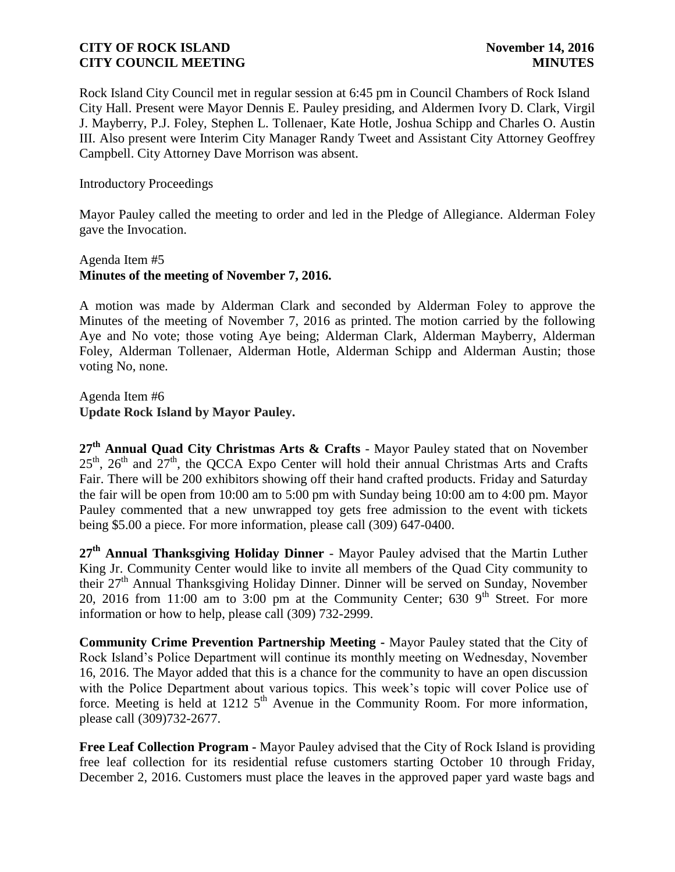Rock Island City Council met in regular session at 6:45 pm in Council Chambers of Rock Island City Hall. Present were Mayor Dennis E. Pauley presiding, and Aldermen Ivory D. Clark, Virgil J. Mayberry, P.J. Foley, Stephen L. Tollenaer, Kate Hotle, Joshua Schipp and Charles O. Austin III. Also present were Interim City Manager Randy Tweet and Assistant City Attorney Geoffrey Campbell. City Attorney Dave Morrison was absent.

Introductory Proceedings

Mayor Pauley called the meeting to order and led in the Pledge of Allegiance. Alderman Foley gave the Invocation.

## Agenda Item #5 **Minutes of the meeting of November 7, 2016.**

A motion was made by Alderman Clark and seconded by Alderman Foley to approve the Minutes of the meeting of November 7, 2016 as printed. The motion carried by the following Aye and No vote; those voting Aye being; Alderman Clark, Alderman Mayberry, Alderman Foley, Alderman Tollenaer, Alderman Hotle, Alderman Schipp and Alderman Austin; those voting No, none.

Agenda Item #6 **Update Rock Island by Mayor Pauley.** 

**27th Annual Quad City Christmas Arts & Crafts** - Mayor Pauley stated that on November  $25<sup>th</sup>$ ,  $26<sup>th</sup>$  and  $27<sup>th</sup>$ , the QCCA Expo Center will hold their annual Christmas Arts and Crafts Fair. There will be 200 exhibitors showing off their hand crafted products. Friday and Saturday the fair will be open from 10:00 am to 5:00 pm with Sunday being 10:00 am to 4:00 pm. Mayor Pauley commented that a new unwrapped toy gets free admission to the event with tickets being \$5.00 a piece. For more information, please call (309) 647-0400.

**27th Annual Thanksgiving Holiday Dinner** - Mayor Pauley advised that the Martin Luther King Jr. Community Center would like to invite all members of the Quad City community to their  $27<sup>th</sup>$  Annual Thanksgiving Holiday Dinner. Dinner will be served on Sunday, November 20, 2016 from 11:00 am to 3:00 pm at the Community Center; 630  $9<sup>th</sup>$  Street. For more information or how to help, please call (309) 732-2999.

**Community Crime Prevention Partnership Meeting -** Mayor Pauley stated that the City of Rock Island's Police Department will continue its monthly meeting on Wednesday, November 16, 2016. The Mayor added that this is a chance for the community to have an open discussion with the Police Department about various topics. This week's topic will cover Police use of force. Meeting is held at 1212  $5<sup>th</sup>$  Avenue in the Community Room. For more information, please call (309)732-2677.

**Free Leaf Collection Program -** Mayor Pauley advised that the City of Rock Island is providing free leaf collection for its residential refuse customers starting October 10 through Friday, December 2, 2016. Customers must place the leaves in the approved paper yard waste bags and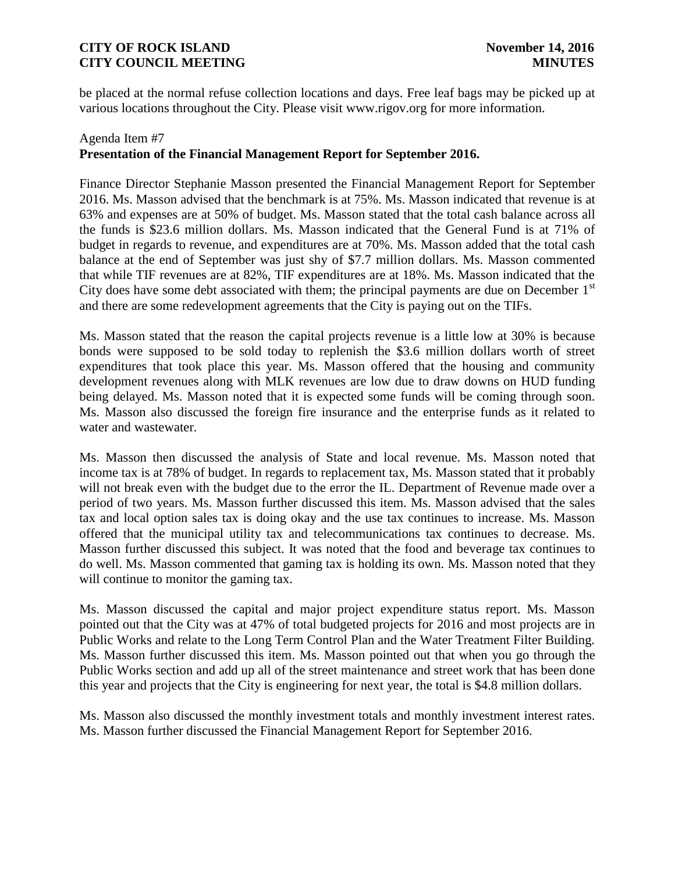be placed at the normal refuse collection locations and days. Free leaf bags may be picked up at various locations throughout the City. Please visit www.rigov.org for more information.

## Agenda Item #7 **Presentation of the Financial Management Report for September 2016.**

Finance Director Stephanie Masson presented the Financial Management Report for September 2016. Ms. Masson advised that the benchmark is at 75%. Ms. Masson indicated that revenue is at 63% and expenses are at 50% of budget. Ms. Masson stated that the total cash balance across all the funds is \$23.6 million dollars. Ms. Masson indicated that the General Fund is at 71% of budget in regards to revenue, and expenditures are at 70%. Ms. Masson added that the total cash balance at the end of September was just shy of \$7.7 million dollars. Ms. Masson commented that while TIF revenues are at 82%, TIF expenditures are at 18%. Ms. Masson indicated that the City does have some debt associated with them; the principal payments are due on December  $1<sup>st</sup>$ and there are some redevelopment agreements that the City is paying out on the TIFs.

Ms. Masson stated that the reason the capital projects revenue is a little low at 30% is because bonds were supposed to be sold today to replenish the \$3.6 million dollars worth of street expenditures that took place this year. Ms. Masson offered that the housing and community development revenues along with MLK revenues are low due to draw downs on HUD funding being delayed. Ms. Masson noted that it is expected some funds will be coming through soon. Ms. Masson also discussed the foreign fire insurance and the enterprise funds as it related to water and wastewater.

Ms. Masson then discussed the analysis of State and local revenue. Ms. Masson noted that income tax is at 78% of budget. In regards to replacement tax, Ms. Masson stated that it probably will not break even with the budget due to the error the IL. Department of Revenue made over a period of two years. Ms. Masson further discussed this item. Ms. Masson advised that the sales tax and local option sales tax is doing okay and the use tax continues to increase. Ms. Masson offered that the municipal utility tax and telecommunications tax continues to decrease. Ms. Masson further discussed this subject. It was noted that the food and beverage tax continues to do well. Ms. Masson commented that gaming tax is holding its own. Ms. Masson noted that they will continue to monitor the gaming tax.

Ms. Masson discussed the capital and major project expenditure status report. Ms. Masson pointed out that the City was at 47% of total budgeted projects for 2016 and most projects are in Public Works and relate to the Long Term Control Plan and the Water Treatment Filter Building. Ms. Masson further discussed this item. Ms. Masson pointed out that when you go through the Public Works section and add up all of the street maintenance and street work that has been done this year and projects that the City is engineering for next year, the total is \$4.8 million dollars.

Ms. Masson also discussed the monthly investment totals and monthly investment interest rates. Ms. Masson further discussed the Financial Management Report for September 2016.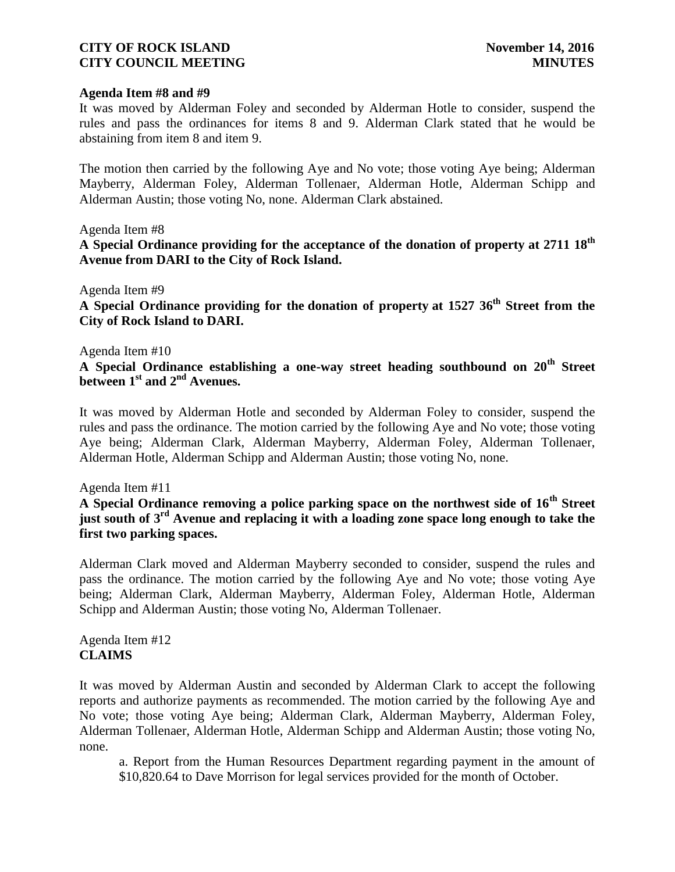#### **Agenda Item #8 and #9**

It was moved by Alderman Foley and seconded by Alderman Hotle to consider, suspend the rules and pass the ordinances for items 8 and 9. Alderman Clark stated that he would be abstaining from item 8 and item 9.

The motion then carried by the following Aye and No vote; those voting Aye being; Alderman Mayberry, Alderman Foley, Alderman Tollenaer, Alderman Hotle, Alderman Schipp and Alderman Austin; those voting No, none. Alderman Clark abstained.

### Agenda Item #8

**A Special Ordinance providing for the acceptance of the donation of property at 2711 18th Avenue from DARI to the City of Rock Island.**

### Agenda Item #9

**A Special Ordinance providing for the donation of property at 1527 36th Street from the City of Rock Island to DARI.**

#### Agenda Item #10

**A Special Ordinance establishing a one-way street heading southbound on 20th Street between 1st and 2 nd Avenues.**

It was moved by Alderman Hotle and seconded by Alderman Foley to consider, suspend the rules and pass the ordinance. The motion carried by the following Aye and No vote; those voting Aye being; Alderman Clark, Alderman Mayberry, Alderman Foley, Alderman Tollenaer, Alderman Hotle, Alderman Schipp and Alderman Austin; those voting No, none.

### Agenda Item #11

**A Special Ordinance removing a police parking space on the northwest side of 16th Street just south of 3rd Avenue and replacing it with a loading zone space long enough to take the first two parking spaces.**

Alderman Clark moved and Alderman Mayberry seconded to consider, suspend the rules and pass the ordinance. The motion carried by the following Aye and No vote; those voting Aye being; Alderman Clark, Alderman Mayberry, Alderman Foley, Alderman Hotle, Alderman Schipp and Alderman Austin; those voting No, Alderman Tollenaer.

Agenda Item #12 **CLAIMS**

It was moved by Alderman Austin and seconded by Alderman Clark to accept the following reports and authorize payments as recommended. The motion carried by the following Aye and No vote; those voting Aye being; Alderman Clark, Alderman Mayberry, Alderman Foley, Alderman Tollenaer, Alderman Hotle, Alderman Schipp and Alderman Austin; those voting No, none.

a. Report from the Human Resources Department regarding payment in the amount of \$10,820.64 to Dave Morrison for legal services provided for the month of October.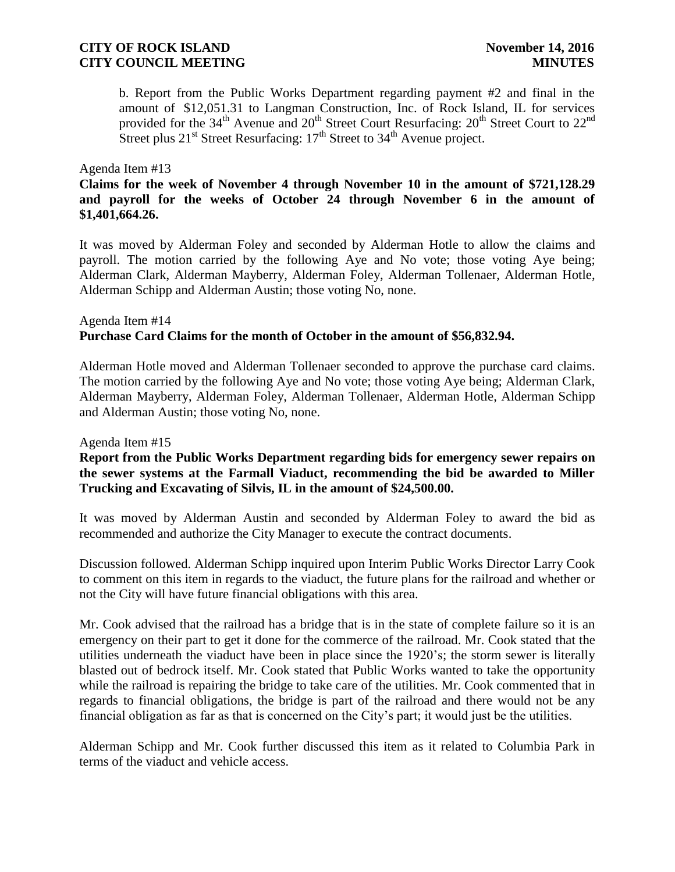b. Report from the Public Works Department regarding payment #2 and final in the amount of \$12,051.31 to Langman Construction, Inc. of Rock Island, IL for services provided for the  $34<sup>th</sup>$  Avenue and  $20<sup>th</sup>$  Street Court Resurfacing:  $20<sup>th</sup>$  Street Court to  $22<sup>nd</sup>$ Street plus  $21<sup>st</sup>$  Street Resurfacing:  $17<sup>th</sup>$  Street to  $34<sup>th</sup>$  Avenue project.

#### Agenda Item #13

**Claims for the week of November 4 through November 10 in the amount of \$721,128.29 and payroll for the weeks of October 24 through November 6 in the amount of \$1,401,664.26.** 

It was moved by Alderman Foley and seconded by Alderman Hotle to allow the claims and payroll. The motion carried by the following Aye and No vote; those voting Aye being; Alderman Clark, Alderman Mayberry, Alderman Foley, Alderman Tollenaer, Alderman Hotle, Alderman Schipp and Alderman Austin; those voting No, none.

## Agenda Item #14 **Purchase Card Claims for the month of October in the amount of \$56,832.94.**

Alderman Hotle moved and Alderman Tollenaer seconded to approve the purchase card claims. The motion carried by the following Aye and No vote; those voting Aye being; Alderman Clark, Alderman Mayberry, Alderman Foley, Alderman Tollenaer, Alderman Hotle, Alderman Schipp and Alderman Austin; those voting No, none.

#### Agenda Item #15

## **Report from the Public Works Department regarding bids for emergency sewer repairs on the sewer systems at the Farmall Viaduct, recommending the bid be awarded to Miller Trucking and Excavating of Silvis, IL in the amount of \$24,500.00.**

It was moved by Alderman Austin and seconded by Alderman Foley to award the bid as recommended and authorize the City Manager to execute the contract documents.

Discussion followed. Alderman Schipp inquired upon Interim Public Works Director Larry Cook to comment on this item in regards to the viaduct, the future plans for the railroad and whether or not the City will have future financial obligations with this area.

Mr. Cook advised that the railroad has a bridge that is in the state of complete failure so it is an emergency on their part to get it done for the commerce of the railroad. Mr. Cook stated that the utilities underneath the viaduct have been in place since the 1920's; the storm sewer is literally blasted out of bedrock itself. Mr. Cook stated that Public Works wanted to take the opportunity while the railroad is repairing the bridge to take care of the utilities. Mr. Cook commented that in regards to financial obligations, the bridge is part of the railroad and there would not be any financial obligation as far as that is concerned on the City's part; it would just be the utilities.

Alderman Schipp and Mr. Cook further discussed this item as it related to Columbia Park in terms of the viaduct and vehicle access.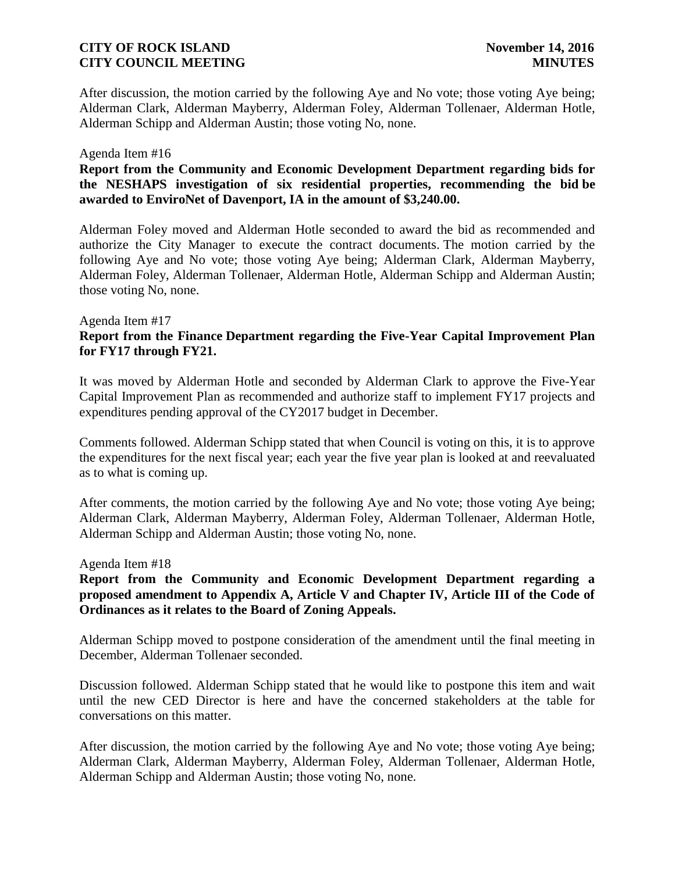After discussion, the motion carried by the following Aye and No vote; those voting Aye being; Alderman Clark, Alderman Mayberry, Alderman Foley, Alderman Tollenaer, Alderman Hotle, Alderman Schipp and Alderman Austin; those voting No, none.

#### Agenda Item #16

**Report from the Community and Economic Development Department regarding bids for the NESHAPS investigation of six residential properties, recommending the bid be awarded to EnviroNet of Davenport, IA in the amount of \$3,240.00.**

Alderman Foley moved and Alderman Hotle seconded to award the bid as recommended and authorize the City Manager to execute the contract documents. The motion carried by the following Aye and No vote; those voting Aye being; Alderman Clark, Alderman Mayberry, Alderman Foley, Alderman Tollenaer, Alderman Hotle, Alderman Schipp and Alderman Austin; those voting No, none.

## Agenda Item #17 **Report from the Finance Department regarding the Five-Year Capital Improvement Plan for FY17 through FY21.**

It was moved by Alderman Hotle and seconded by Alderman Clark to approve the Five-Year Capital Improvement Plan as recommended and authorize staff to implement FY17 projects and expenditures pending approval of the CY2017 budget in December.

Comments followed. Alderman Schipp stated that when Council is voting on this, it is to approve the expenditures for the next fiscal year; each year the five year plan is looked at and reevaluated as to what is coming up.

After comments, the motion carried by the following Aye and No vote; those voting Aye being; Alderman Clark, Alderman Mayberry, Alderman Foley, Alderman Tollenaer, Alderman Hotle, Alderman Schipp and Alderman Austin; those voting No, none.

### Agenda Item #18

## **Report from the Community and Economic Development Department regarding a proposed amendment to Appendix A, Article V and Chapter IV, Article III of the Code of Ordinances as it relates to the Board of Zoning Appeals.**

Alderman Schipp moved to postpone consideration of the amendment until the final meeting in December, Alderman Tollenaer seconded.

Discussion followed. Alderman Schipp stated that he would like to postpone this item and wait until the new CED Director is here and have the concerned stakeholders at the table for conversations on this matter.

After discussion, the motion carried by the following Aye and No vote; those voting Aye being; Alderman Clark, Alderman Mayberry, Alderman Foley, Alderman Tollenaer, Alderman Hotle, Alderman Schipp and Alderman Austin; those voting No, none.